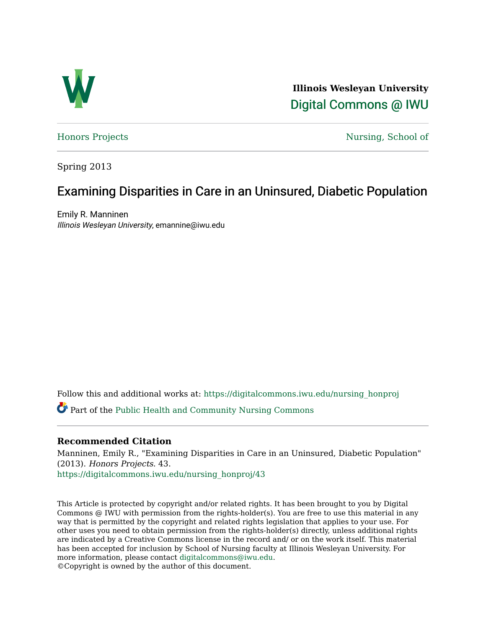

**Illinois Wesleyan University**  [Digital Commons @ IWU](https://digitalcommons.iwu.edu/) 

[Honors Projects](https://digitalcommons.iwu.edu/nursing_honproj) [Nursing, School of](https://digitalcommons.iwu.edu/nursing) 

Spring 2013

# Examining Disparities in Care in an Uninsured, Diabetic Population

Emily R. Manninen Illinois Wesleyan University, emannine@iwu.edu

Follow this and additional works at: [https://digitalcommons.iwu.edu/nursing\\_honproj](https://digitalcommons.iwu.edu/nursing_honproj?utm_source=digitalcommons.iwu.edu%2Fnursing_honproj%2F43&utm_medium=PDF&utm_campaign=PDFCoverPages) 

Part of the [Public Health and Community Nursing Commons](http://network.bepress.com/hgg/discipline/725?utm_source=digitalcommons.iwu.edu%2Fnursing_honproj%2F43&utm_medium=PDF&utm_campaign=PDFCoverPages) 

# **Recommended Citation**

Manninen, Emily R., "Examining Disparities in Care in an Uninsured, Diabetic Population" (2013). Honors Projects. 43. [https://digitalcommons.iwu.edu/nursing\\_honproj/43](https://digitalcommons.iwu.edu/nursing_honproj/43?utm_source=digitalcommons.iwu.edu%2Fnursing_honproj%2F43&utm_medium=PDF&utm_campaign=PDFCoverPages)

This Article is protected by copyright and/or related rights. It has been brought to you by Digital Commons @ IWU with permission from the rights-holder(s). You are free to use this material in any way that is permitted by the copyright and related rights legislation that applies to your use. For other uses you need to obtain permission from the rights-holder(s) directly, unless additional rights are indicated by a Creative Commons license in the record and/ or on the work itself. This material has been accepted for inclusion by School of Nursing faculty at Illinois Wesleyan University. For more information, please contact [digitalcommons@iwu.edu](mailto:digitalcommons@iwu.edu). ©Copyright is owned by the author of this document.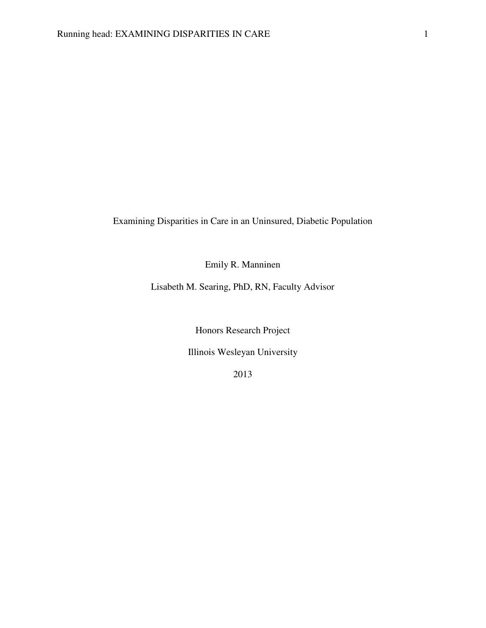Examining Disparities in Care in an Uninsured, Diabetic Population

Emily R. Manninen

Lisabeth M. Searing, PhD, RN, Faculty Advisor

Honors Research Project

Illinois Wesleyan University

2013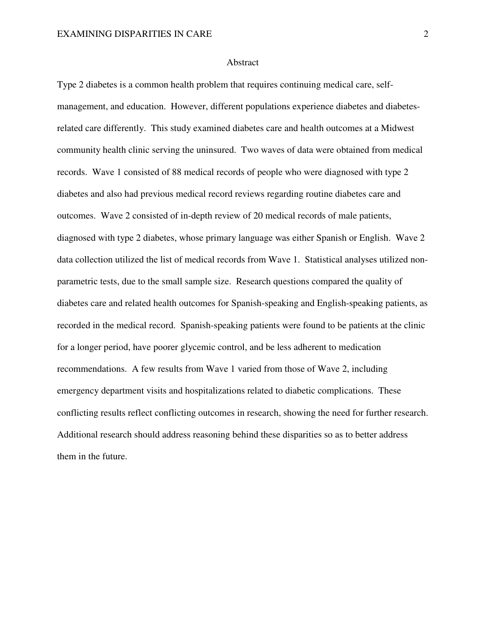#### Abstract

Type 2 diabetes is a common health problem that requires continuing medical care, selfmanagement, and education. However, different populations experience diabetes and diabetesrelated care differently. This study examined diabetes care and health outcomes at a Midwest community health clinic serving the uninsured. Two waves of data were obtained from medical records. Wave 1 consisted of 88 medical records of people who were diagnosed with type 2 diabetes and also had previous medical record reviews regarding routine diabetes care and outcomes. Wave 2 consisted of in-depth review of 20 medical records of male patients, diagnosed with type 2 diabetes, whose primary language was either Spanish or English. Wave 2 data collection utilized the list of medical records from Wave 1. Statistical analyses utilized nonparametric tests, due to the small sample size. Research questions compared the quality of diabetes care and related health outcomes for Spanish-speaking and English-speaking patients, as recorded in the medical record. Spanish-speaking patients were found to be patients at the clinic for a longer period, have poorer glycemic control, and be less adherent to medication recommendations. A few results from Wave 1 varied from those of Wave 2, including emergency department visits and hospitalizations related to diabetic complications. These conflicting results reflect conflicting outcomes in research, showing the need for further research. Additional research should address reasoning behind these disparities so as to better address them in the future.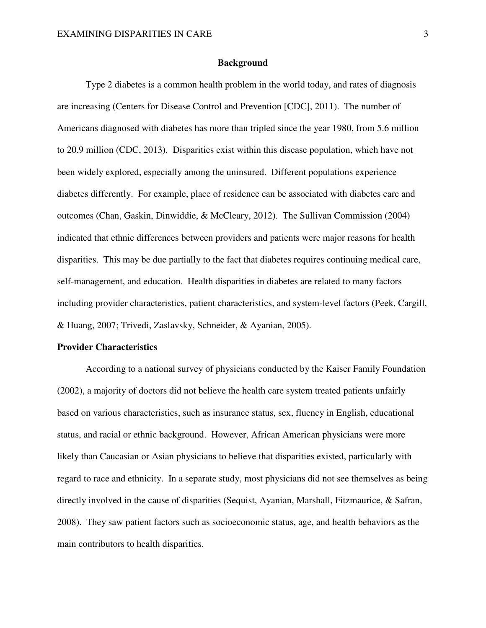#### **Background**

 Type 2 diabetes is a common health problem in the world today, and rates of diagnosis are increasing (Centers for Disease Control and Prevention [CDC], 2011). The number of Americans diagnosed with diabetes has more than tripled since the year 1980, from 5.6 million to 20.9 million (CDC, 2013). Disparities exist within this disease population, which have not been widely explored, especially among the uninsured. Different populations experience diabetes differently. For example, place of residence can be associated with diabetes care and outcomes (Chan, Gaskin, Dinwiddie, & McCleary, 2012). The Sullivan Commission (2004) indicated that ethnic differences between providers and patients were major reasons for health disparities. This may be due partially to the fact that diabetes requires continuing medical care, self-management, and education. Health disparities in diabetes are related to many factors including provider characteristics, patient characteristics, and system-level factors (Peek, Cargill, & Huang, 2007; Trivedi, Zaslavsky, Schneider, & Ayanian, 2005).

#### **Provider Characteristics**

 According to a national survey of physicians conducted by the Kaiser Family Foundation (2002), a majority of doctors did not believe the health care system treated patients unfairly based on various characteristics, such as insurance status, sex, fluency in English, educational status, and racial or ethnic background. However, African American physicians were more likely than Caucasian or Asian physicians to believe that disparities existed, particularly with regard to race and ethnicity. In a separate study, most physicians did not see themselves as being directly involved in the cause of disparities (Sequist, Ayanian, Marshall, Fitzmaurice, & Safran, 2008). They saw patient factors such as socioeconomic status, age, and health behaviors as the main contributors to health disparities.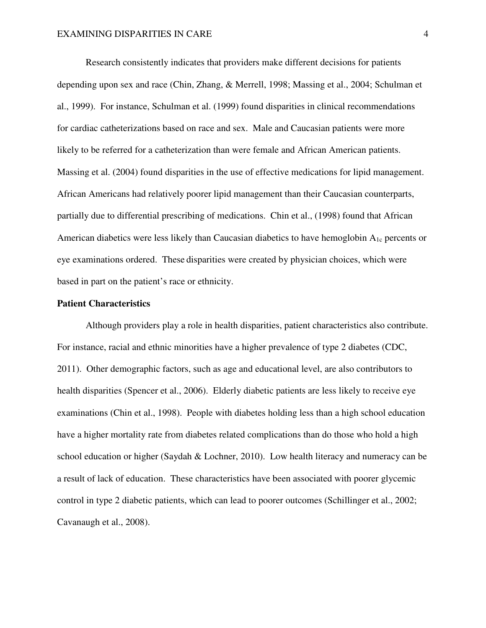Research consistently indicates that providers make different decisions for patients depending upon sex and race (Chin, Zhang, & Merrell, 1998; Massing et al., 2004; Schulman et al., 1999). For instance, Schulman et al. (1999) found disparities in clinical recommendations for cardiac catheterizations based on race and sex. Male and Caucasian patients were more likely to be referred for a catheterization than were female and African American patients. Massing et al. (2004) found disparities in the use of effective medications for lipid management. African Americans had relatively poorer lipid management than their Caucasian counterparts, partially due to differential prescribing of medications. Chin et al., (1998) found that African American diabetics were less likely than Caucasian diabetics to have hemoglobin  $A_{1c}$  percents or eye examinations ordered. These disparities were created by physician choices, which were based in part on the patient's race or ethnicity.

#### **Patient Characteristics**

 Although providers play a role in health disparities, patient characteristics also contribute. For instance, racial and ethnic minorities have a higher prevalence of type 2 diabetes (CDC, 2011). Other demographic factors, such as age and educational level, are also contributors to health disparities (Spencer et al., 2006). Elderly diabetic patients are less likely to receive eye examinations (Chin et al., 1998). People with diabetes holding less than a high school education have a higher mortality rate from diabetes related complications than do those who hold a high school education or higher (Saydah & Lochner, 2010). Low health literacy and numeracy can be a result of lack of education. These characteristics have been associated with poorer glycemic control in type 2 diabetic patients, which can lead to poorer outcomes (Schillinger et al., 2002; Cavanaugh et al., 2008).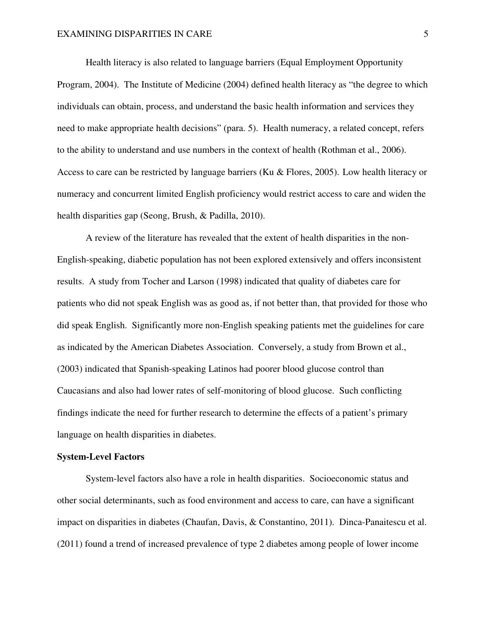Health literacy is also related to language barriers (Equal Employment Opportunity Program, 2004). The Institute of Medicine (2004) defined health literacy as "the degree to which individuals can obtain, process, and understand the basic health information and services they need to make appropriate health decisions" (para. 5). Health numeracy, a related concept, refers to the ability to understand and use numbers in the context of health (Rothman et al., 2006). Access to care can be restricted by language barriers (Ku & Flores, 2005). Low health literacy or numeracy and concurrent limited English proficiency would restrict access to care and widen the health disparities gap (Seong, Brush, & Padilla, 2010).

 A review of the literature has revealed that the extent of health disparities in the non-English-speaking, diabetic population has not been explored extensively and offers inconsistent results. A study from Tocher and Larson (1998) indicated that quality of diabetes care for patients who did not speak English was as good as, if not better than, that provided for those who did speak English. Significantly more non-English speaking patients met the guidelines for care as indicated by the American Diabetes Association. Conversely, a study from Brown et al., (2003) indicated that Spanish-speaking Latinos had poorer blood glucose control than Caucasians and also had lower rates of self-monitoring of blood glucose. Such conflicting findings indicate the need for further research to determine the effects of a patient's primary language on health disparities in diabetes.

#### **System-Level Factors**

 System-level factors also have a role in health disparities. Socioeconomic status and other social determinants, such as food environment and access to care, can have a significant impact on disparities in diabetes (Chaufan, Davis, & Constantino, 2011). Dinca-Panaitescu et al. (2011) found a trend of increased prevalence of type 2 diabetes among people of lower income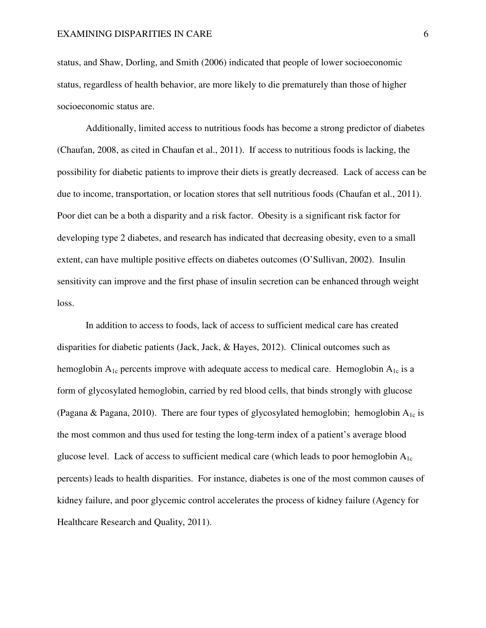status, and Shaw, Dorling, and Smith (2006) indicated that people of lower socioeconomic status, regardless of health behavior, are more likely to die prematurely than those of higher socioeconomic status are.

 Additionally, limited access to nutritious foods has become a strong predictor of diabetes (Chaufan, 2008, as cited in Chaufan et al., 2011). If access to nutritious foods is lacking, the possibility for diabetic patients to improve their diets is greatly decreased. Lack of access can be due to income, transportation, or location stores that sell nutritious foods (Chaufan et al., 2011). Poor diet can be a both a disparity and a risk factor. Obesity is a significant risk factor for developing type 2 diabetes, and research has indicated that decreasing obesity, even to a small extent, can have multiple positive effects on diabetes outcomes (O'Sullivan, 2002). Insulin sensitivity can improve and the first phase of insulin secretion can be enhanced through weight loss.

 In addition to access to foods, lack of access to sufficient medical care has created disparities for diabetic patients (Jack, Jack, & Hayes, 2012). Clinical outcomes such as hemoglobin  $A_{1c}$  percents improve with adequate access to medical care. Hemoglobin  $A_{1c}$  is a form of glycosylated hemoglobin, carried by red blood cells, that binds strongly with glucose (Pagana & Pagana, 2010). There are four types of glycosylated hemoglobin; hemoglobin  $A_{1c}$  is the most common and thus used for testing the long-term index of a patient's average blood glucose level. Lack of access to sufficient medical care (which leads to poor hemoglobin  $A_{1c}$ ) percents) leads to health disparities. For instance, diabetes is one of the most common causes of kidney failure, and poor glycemic control accelerates the process of kidney failure (Agency for Healthcare Research and Quality, 2011).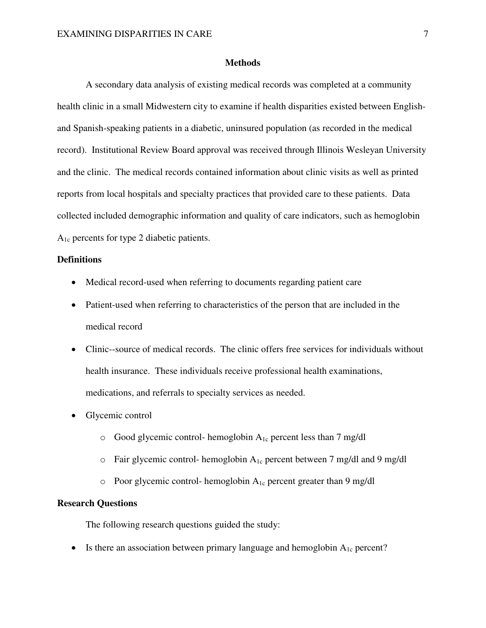#### **Methods**

 A secondary data analysis of existing medical records was completed at a community health clinic in a small Midwestern city to examine if health disparities existed between Englishand Spanish-speaking patients in a diabetic, uninsured population (as recorded in the medical record). Institutional Review Board approval was received through Illinois Wesleyan University and the clinic. The medical records contained information about clinic visits as well as printed reports from local hospitals and specialty practices that provided care to these patients. Data collected included demographic information and quality of care indicators, such as hemoglobin A1c percents for type 2 diabetic patients.

### **Definitions**

- Medical record-used when referring to documents regarding patient care
- Patient-used when referring to characteristics of the person that are included in the medical record
- Clinic--source of medical records. The clinic offers free services for individuals without health insurance. These individuals receive professional health examinations, medications, and referrals to specialty services as needed.
- Glycemic control
	- $\circ$  Good glycemic control- hemoglobin  $A_{1c}$  percent less than 7 mg/dl
	- $\circ$  Fair glycemic control- hemoglobin  $A_{1c}$  percent between 7 mg/dl and 9 mg/dl
	- $\circ$  Poor glycemic control- hemoglobin  $A_{1c}$  percent greater than 9 mg/dl

### **Research Questions**

The following research questions guided the study:

• Is there an association between primary language and hemoglobin  $A_{1c}$  percent?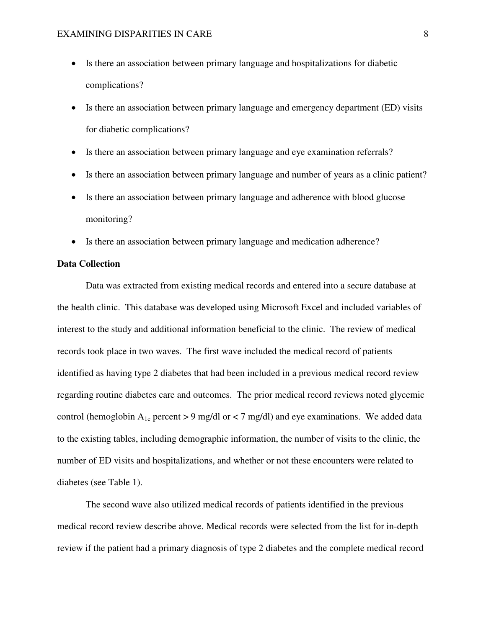- Is there an association between primary language and hospitalizations for diabetic complications?
- Is there an association between primary language and emergency department (ED) visits for diabetic complications?
- Is there an association between primary language and eye examination referrals?
- Is there an association between primary language and number of years as a clinic patient?
- Is there an association between primary language and adherence with blood glucose monitoring?
- Is there an association between primary language and medication adherence?

#### **Data Collection**

 Data was extracted from existing medical records and entered into a secure database at the health clinic. This database was developed using Microsoft Excel and included variables of interest to the study and additional information beneficial to the clinic. The review of medical records took place in two waves. The first wave included the medical record of patients identified as having type 2 diabetes that had been included in a previous medical record review regarding routine diabetes care and outcomes. The prior medical record reviews noted glycemic control (hemoglobin  $A_{1c}$  percent > 9 mg/dl or < 7 mg/dl) and eye examinations. We added data to the existing tables, including demographic information, the number of visits to the clinic, the number of ED visits and hospitalizations, and whether or not these encounters were related to diabetes (see Table 1).

 The second wave also utilized medical records of patients identified in the previous medical record review describe above. Medical records were selected from the list for in-depth review if the patient had a primary diagnosis of type 2 diabetes and the complete medical record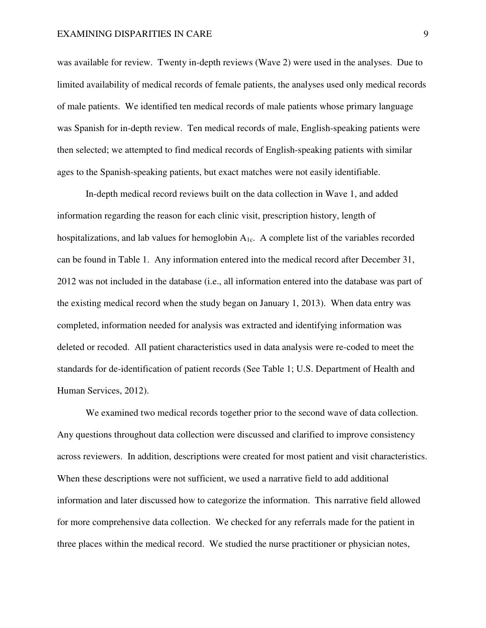was available for review. Twenty in-depth reviews (Wave 2) were used in the analyses. Due to limited availability of medical records of female patients, the analyses used only medical records of male patients. We identified ten medical records of male patients whose primary language was Spanish for in-depth review. Ten medical records of male, English-speaking patients were then selected; we attempted to find medical records of English-speaking patients with similar ages to the Spanish-speaking patients, but exact matches were not easily identifiable.

 In-depth medical record reviews built on the data collection in Wave 1, and added information regarding the reason for each clinic visit, prescription history, length of hospitalizations, and lab values for hemoglobin  $A_{1c}$ . A complete list of the variables recorded can be found in Table 1. Any information entered into the medical record after December 31, 2012 was not included in the database (i.e., all information entered into the database was part of the existing medical record when the study began on January 1, 2013). When data entry was completed, information needed for analysis was extracted and identifying information was deleted or recoded. All patient characteristics used in data analysis were re-coded to meet the standards for de-identification of patient records (See Table 1; U.S. Department of Health and Human Services, 2012).

 We examined two medical records together prior to the second wave of data collection. Any questions throughout data collection were discussed and clarified to improve consistency across reviewers. In addition, descriptions were created for most patient and visit characteristics. When these descriptions were not sufficient, we used a narrative field to add additional information and later discussed how to categorize the information. This narrative field allowed for more comprehensive data collection. We checked for any referrals made for the patient in three places within the medical record. We studied the nurse practitioner or physician notes,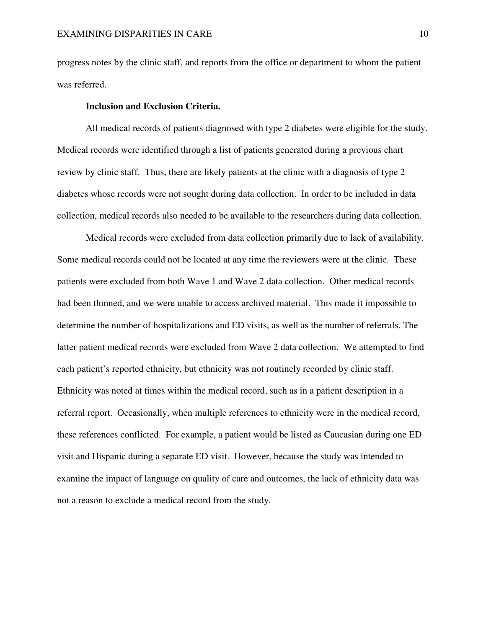progress notes by the clinic staff, and reports from the office or department to whom the patient was referred.

### **Inclusion and Exclusion Criteria.**

 All medical records of patients diagnosed with type 2 diabetes were eligible for the study. Medical records were identified through a list of patients generated during a previous chart review by clinic staff. Thus, there are likely patients at the clinic with a diagnosis of type 2 diabetes whose records were not sought during data collection. In order to be included in data collection, medical records also needed to be available to the researchers during data collection.

 Medical records were excluded from data collection primarily due to lack of availability. Some medical records could not be located at any time the reviewers were at the clinic. These patients were excluded from both Wave 1 and Wave 2 data collection. Other medical records had been thinned, and we were unable to access archived material. This made it impossible to determine the number of hospitalizations and ED visits, as well as the number of referrals. The latter patient medical records were excluded from Wave 2 data collection. We attempted to find each patient's reported ethnicity, but ethnicity was not routinely recorded by clinic staff. Ethnicity was noted at times within the medical record, such as in a patient description in a referral report. Occasionally, when multiple references to ethnicity were in the medical record, these references conflicted. For example, a patient would be listed as Caucasian during one ED visit and Hispanic during a separate ED visit. However, because the study was intended to examine the impact of language on quality of care and outcomes, the lack of ethnicity data was not a reason to exclude a medical record from the study.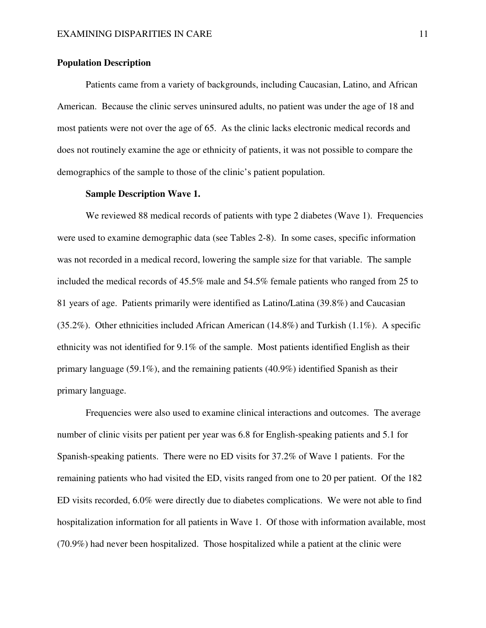#### **Population Description**

 Patients came from a variety of backgrounds, including Caucasian, Latino, and African American. Because the clinic serves uninsured adults, no patient was under the age of 18 and most patients were not over the age of 65. As the clinic lacks electronic medical records and does not routinely examine the age or ethnicity of patients, it was not possible to compare the demographics of the sample to those of the clinic's patient population.

### **Sample Description Wave 1.**

We reviewed 88 medical records of patients with type 2 diabetes (Wave 1). Frequencies were used to examine demographic data (see Tables 2-8). In some cases, specific information was not recorded in a medical record, lowering the sample size for that variable. The sample included the medical records of 45.5% male and 54.5% female patients who ranged from 25 to 81 years of age. Patients primarily were identified as Latino/Latina (39.8%) and Caucasian (35.2%). Other ethnicities included African American (14.8%) and Turkish (1.1%). A specific ethnicity was not identified for 9.1% of the sample. Most patients identified English as their primary language (59.1%), and the remaining patients (40.9%) identified Spanish as their primary language.

 Frequencies were also used to examine clinical interactions and outcomes. The average number of clinic visits per patient per year was 6.8 for English-speaking patients and 5.1 for Spanish-speaking patients. There were no ED visits for 37.2% of Wave 1 patients. For the remaining patients who had visited the ED, visits ranged from one to 20 per patient. Of the 182 ED visits recorded, 6.0% were directly due to diabetes complications. We were not able to find hospitalization information for all patients in Wave 1. Of those with information available, most (70.9%) had never been hospitalized. Those hospitalized while a patient at the clinic were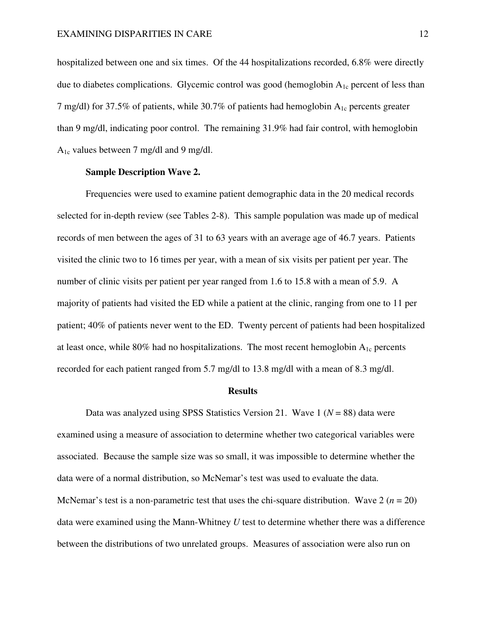hospitalized between one and six times. Of the 44 hospitalizations recorded, 6.8% were directly due to diabetes complications. Glycemic control was good (hemoglobin  $A_{1c}$  percent of less than 7 mg/dl) for 37.5% of patients, while 30.7% of patients had hemoglobin  $A_{1c}$  percents greater than 9 mg/dl, indicating poor control. The remaining 31.9% had fair control, with hemoglobin A1c values between 7 mg/dl and 9 mg/dl.

### **Sample Description Wave 2.**

 Frequencies were used to examine patient demographic data in the 20 medical records selected for in-depth review (see Tables 2-8). This sample population was made up of medical records of men between the ages of 31 to 63 years with an average age of 46.7 years. Patients visited the clinic two to 16 times per year, with a mean of six visits per patient per year. The number of clinic visits per patient per year ranged from 1.6 to 15.8 with a mean of 5.9. A majority of patients had visited the ED while a patient at the clinic, ranging from one to 11 per patient; 40% of patients never went to the ED. Twenty percent of patients had been hospitalized at least once, while 80% had no hospitalizations. The most recent hemoglobin  $A_{1c}$  percents recorded for each patient ranged from 5.7 mg/dl to 13.8 mg/dl with a mean of 8.3 mg/dl.

#### **Results**

 Data was analyzed using SPSS Statistics Version 21. Wave 1 (*N* = 88) data were examined using a measure of association to determine whether two categorical variables were associated. Because the sample size was so small, it was impossible to determine whether the data were of a normal distribution, so McNemar's test was used to evaluate the data. McNemar's test is a non-parametric test that uses the chi-square distribution. Wave  $2 (n = 20)$ data were examined using the Mann-Whitney *U* test to determine whether there was a difference between the distributions of two unrelated groups. Measures of association were also run on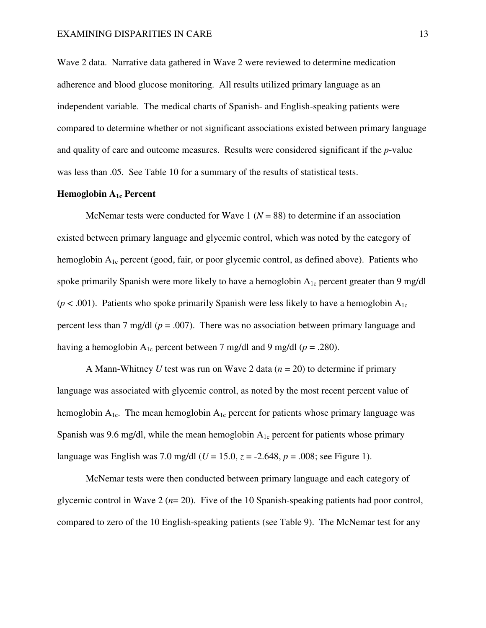Wave 2 data. Narrative data gathered in Wave 2 were reviewed to determine medication adherence and blood glucose monitoring. All results utilized primary language as an independent variable. The medical charts of Spanish- and English-speaking patients were compared to determine whether or not significant associations existed between primary language and quality of care and outcome measures. Results were considered significant if the *p*-value was less than .05. See Table 10 for a summary of the results of statistical tests.

#### **Hemoglobin A1c Percent**

McNemar tests were conducted for Wave  $1 (N = 88)$  to determine if an association existed between primary language and glycemic control, which was noted by the category of hemoglobin  $A_{1c}$  percent (good, fair, or poor glycemic control, as defined above). Patients who spoke primarily Spanish were more likely to have a hemoglobin  $A_{1c}$  percent greater than 9 mg/dl  $(p < .001)$ . Patients who spoke primarily Spanish were less likely to have a hemoglobin  $A_{1c}$ percent less than 7 mg/dl (*p* = .007). There was no association between primary language and having a hemoglobin  $A_{1c}$  percent between 7 mg/dl and 9 mg/dl ( $p = .280$ ).

 A Mann-Whitney *U* test was run on Wave 2 data (*n* = 20) to determine if primary language was associated with glycemic control, as noted by the most recent percent value of hemoglobin  $A_{1c}$ . The mean hemoglobin  $A_{1c}$  percent for patients whose primary language was Spanish was 9.6 mg/dl, while the mean hemoglobin  $A_{1c}$  percent for patients whose primary language was English was 7.0 mg/dl  $(U = 15.0, z = -2.648, p = .008$ ; see Figure 1).

 McNemar tests were then conducted between primary language and each category of glycemic control in Wave 2 (*n*= 20). Five of the 10 Spanish-speaking patients had poor control, compared to zero of the 10 English-speaking patients (see Table 9). The McNemar test for any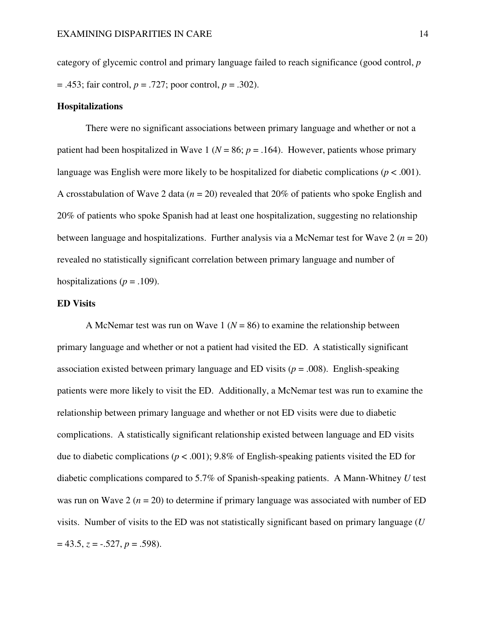category of glycemic control and primary language failed to reach significance (good control, *p* = .453; fair control, *p* = .727; poor control, *p* = .302).

#### **Hospitalizations**

 There were no significant associations between primary language and whether or not a patient had been hospitalized in Wave 1 ( $N = 86$ ;  $p = .164$ ). However, patients whose primary language was English were more likely to be hospitalized for diabetic complications ( $p < .001$ ). A crosstabulation of Wave 2 data (*n* = 20) revealed that 20% of patients who spoke English and 20% of patients who spoke Spanish had at least one hospitalization, suggesting no relationship between language and hospitalizations. Further analysis via a McNemar test for Wave  $2 (n = 20)$ revealed no statistically significant correlation between primary language and number of hospitalizations ( $p = .109$ ).

#### **ED Visits**

A McNemar test was run on Wave 1 ( $N = 86$ ) to examine the relationship between primary language and whether or not a patient had visited the ED. A statistically significant association existed between primary language and ED visits (*p* = .008). English-speaking patients were more likely to visit the ED. Additionally, a McNemar test was run to examine the relationship between primary language and whether or not ED visits were due to diabetic complications. A statistically significant relationship existed between language and ED visits due to diabetic complications (*p* < .001); 9.8% of English-speaking patients visited the ED for diabetic complications compared to 5.7% of Spanish-speaking patients. A Mann-Whitney *U* test was run on Wave 2 ( $n = 20$ ) to determine if primary language was associated with number of ED visits. Number of visits to the ED was not statistically significant based on primary language (*U*  = 43.5, *z* = -.527, *p* = .598).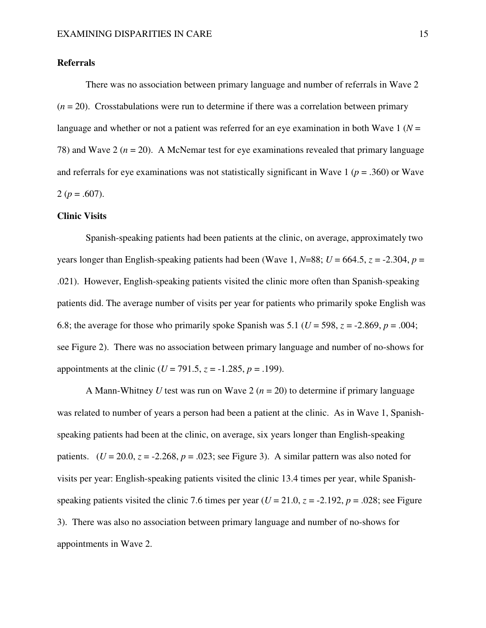### **Referrals**

 There was no association between primary language and number of referrals in Wave 2  $(n = 20)$ . Crosstabulations were run to determine if there was a correlation between primary language and whether or not a patient was referred for an eye examination in both Wave  $1 (N =$ 78) and Wave 2 ( $n = 20$ ). A McNemar test for eye examinations revealed that primary language and referrals for eye examinations was not statistically significant in Wave 1 (*p* = .360) or Wave 2 ( $p = .607$ ).

#### **Clinic Visits**

 Spanish-speaking patients had been patients at the clinic, on average, approximately two years longer than English-speaking patients had been (Wave 1,  $N=88$ ;  $U = 664.5$ ,  $z = -2.304$ ,  $p =$ .021). However, English-speaking patients visited the clinic more often than Spanish-speaking patients did. The average number of visits per year for patients who primarily spoke English was 6.8; the average for those who primarily spoke Spanish was 5.1 ( $U = 598$ ,  $z = -2.869$ ,  $p = .004$ ; see Figure 2). There was no association between primary language and number of no-shows for appointments at the clinic ( $U = 791.5$ ,  $z = -1.285$ ,  $p = .199$ ).

 A Mann-Whitney *U* test was run on Wave 2 (*n* = 20) to determine if primary language was related to number of years a person had been a patient at the clinic. As in Wave 1, Spanishspeaking patients had been at the clinic, on average, six years longer than English-speaking patients.  $(U = 20.0, z = -2.268, p = .023$ ; see Figure 3). A similar pattern was also noted for visits per year: English-speaking patients visited the clinic 13.4 times per year, while Spanishspeaking patients visited the clinic 7.6 times per year  $(U = 21.0, z = -2.192, p = .028$ ; see Figure 3). There was also no association between primary language and number of no-shows for appointments in Wave 2.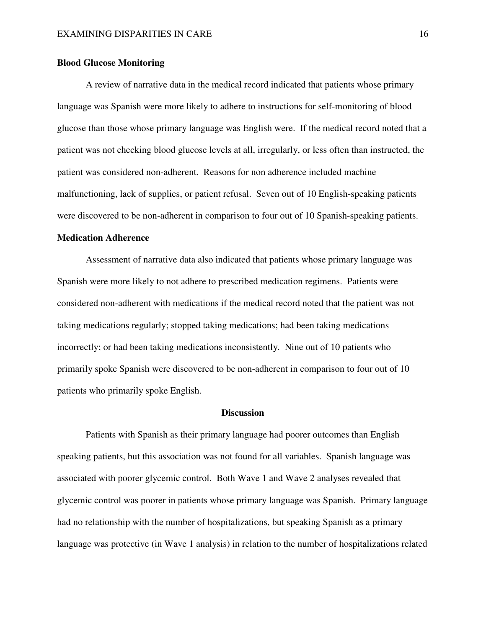#### **Blood Glucose Monitoring**

 A review of narrative data in the medical record indicated that patients whose primary language was Spanish were more likely to adhere to instructions for self-monitoring of blood glucose than those whose primary language was English were. If the medical record noted that a patient was not checking blood glucose levels at all, irregularly, or less often than instructed, the patient was considered non-adherent. Reasons for non adherence included machine malfunctioning, lack of supplies, or patient refusal. Seven out of 10 English-speaking patients were discovered to be non-adherent in comparison to four out of 10 Spanish-speaking patients.

#### **Medication Adherence**

 Assessment of narrative data also indicated that patients whose primary language was Spanish were more likely to not adhere to prescribed medication regimens. Patients were considered non-adherent with medications if the medical record noted that the patient was not taking medications regularly; stopped taking medications; had been taking medications incorrectly; or had been taking medications inconsistently. Nine out of 10 patients who primarily spoke Spanish were discovered to be non-adherent in comparison to four out of 10 patients who primarily spoke English.

#### **Discussion**

 Patients with Spanish as their primary language had poorer outcomes than English speaking patients, but this association was not found for all variables. Spanish language was associated with poorer glycemic control. Both Wave 1 and Wave 2 analyses revealed that glycemic control was poorer in patients whose primary language was Spanish. Primary language had no relationship with the number of hospitalizations, but speaking Spanish as a primary language was protective (in Wave 1 analysis) in relation to the number of hospitalizations related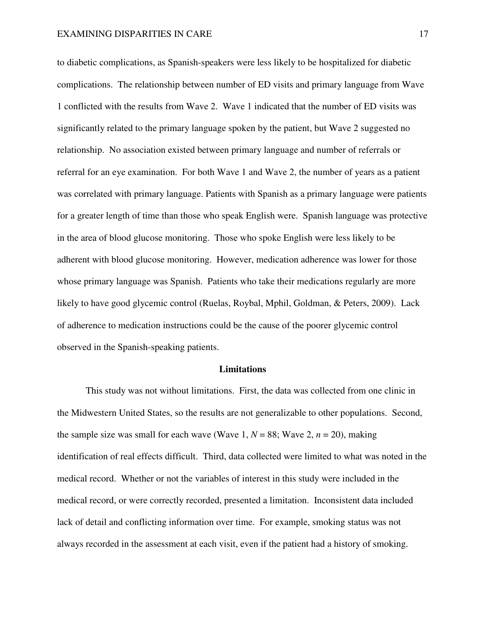to diabetic complications, as Spanish-speakers were less likely to be hospitalized for diabetic complications. The relationship between number of ED visits and primary language from Wave 1 conflicted with the results from Wave 2. Wave 1 indicated that the number of ED visits was significantly related to the primary language spoken by the patient, but Wave 2 suggested no relationship. No association existed between primary language and number of referrals or referral for an eye examination. For both Wave 1 and Wave 2, the number of years as a patient was correlated with primary language. Patients with Spanish as a primary language were patients for a greater length of time than those who speak English were. Spanish language was protective in the area of blood glucose monitoring. Those who spoke English were less likely to be adherent with blood glucose monitoring. However, medication adherence was lower for those whose primary language was Spanish. Patients who take their medications regularly are more likely to have good glycemic control (Ruelas, Roybal, Mphil, Goldman, & Peters, 2009). Lack of adherence to medication instructions could be the cause of the poorer glycemic control observed in the Spanish-speaking patients.

#### **Limitations**

 This study was not without limitations. First, the data was collected from one clinic in the Midwestern United States, so the results are not generalizable to other populations. Second, the sample size was small for each wave (Wave 1,  $N = 88$ ; Wave 2,  $n = 20$ ), making identification of real effects difficult. Third, data collected were limited to what was noted in the medical record. Whether or not the variables of interest in this study were included in the medical record, or were correctly recorded, presented a limitation. Inconsistent data included lack of detail and conflicting information over time. For example, smoking status was not always recorded in the assessment at each visit, even if the patient had a history of smoking.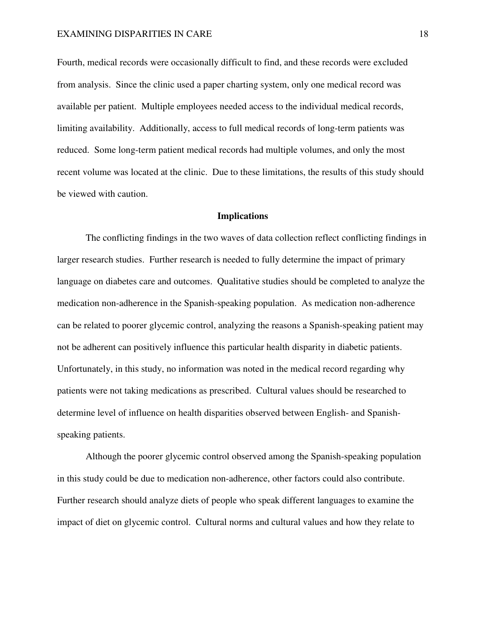Fourth, medical records were occasionally difficult to find, and these records were excluded from analysis. Since the clinic used a paper charting system, only one medical record was available per patient. Multiple employees needed access to the individual medical records, limiting availability. Additionally, access to full medical records of long-term patients was reduced. Some long-term patient medical records had multiple volumes, and only the most recent volume was located at the clinic. Due to these limitations, the results of this study should be viewed with caution.

#### **Implications**

 The conflicting findings in the two waves of data collection reflect conflicting findings in larger research studies. Further research is needed to fully determine the impact of primary language on diabetes care and outcomes. Qualitative studies should be completed to analyze the medication non-adherence in the Spanish-speaking population. As medication non-adherence can be related to poorer glycemic control, analyzing the reasons a Spanish-speaking patient may not be adherent can positively influence this particular health disparity in diabetic patients. Unfortunately, in this study, no information was noted in the medical record regarding why patients were not taking medications as prescribed. Cultural values should be researched to determine level of influence on health disparities observed between English- and Spanishspeaking patients.

 Although the poorer glycemic control observed among the Spanish-speaking population in this study could be due to medication non-adherence, other factors could also contribute. Further research should analyze diets of people who speak different languages to examine the impact of diet on glycemic control. Cultural norms and cultural values and how they relate to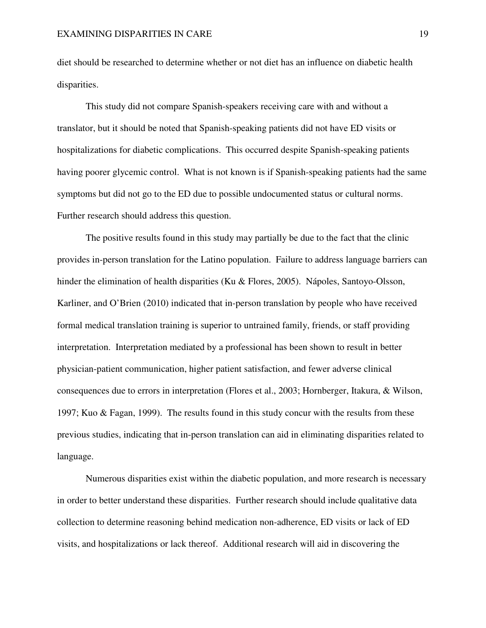diet should be researched to determine whether or not diet has an influence on diabetic health disparities.

 This study did not compare Spanish-speakers receiving care with and without a translator, but it should be noted that Spanish-speaking patients did not have ED visits or hospitalizations for diabetic complications. This occurred despite Spanish-speaking patients having poorer glycemic control. What is not known is if Spanish-speaking patients had the same symptoms but did not go to the ED due to possible undocumented status or cultural norms. Further research should address this question.

 The positive results found in this study may partially be due to the fact that the clinic provides in-person translation for the Latino population. Failure to address language barriers can hinder the elimination of health disparities (Ku & Flores, 2005). Nápoles, Santoyo-Olsson, Karliner, and O'Brien (2010) indicated that in-person translation by people who have received formal medical translation training is superior to untrained family, friends, or staff providing interpretation. Interpretation mediated by a professional has been shown to result in better physician-patient communication, higher patient satisfaction, and fewer adverse clinical consequences due to errors in interpretation (Flores et al., 2003; Hornberger, Itakura, & Wilson, 1997; Kuo & Fagan, 1999). The results found in this study concur with the results from these previous studies, indicating that in-person translation can aid in eliminating disparities related to language.

 Numerous disparities exist within the diabetic population, and more research is necessary in order to better understand these disparities. Further research should include qualitative data collection to determine reasoning behind medication non-adherence, ED visits or lack of ED visits, and hospitalizations or lack thereof. Additional research will aid in discovering the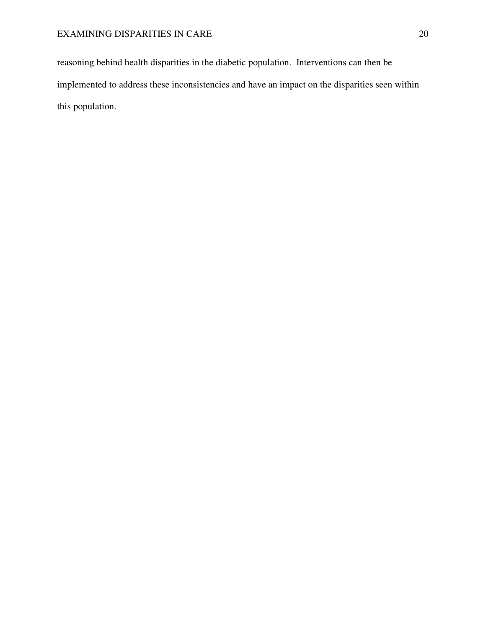reasoning behind health disparities in the diabetic population. Interventions can then be implemented to address these inconsistencies and have an impact on the disparities seen within this population.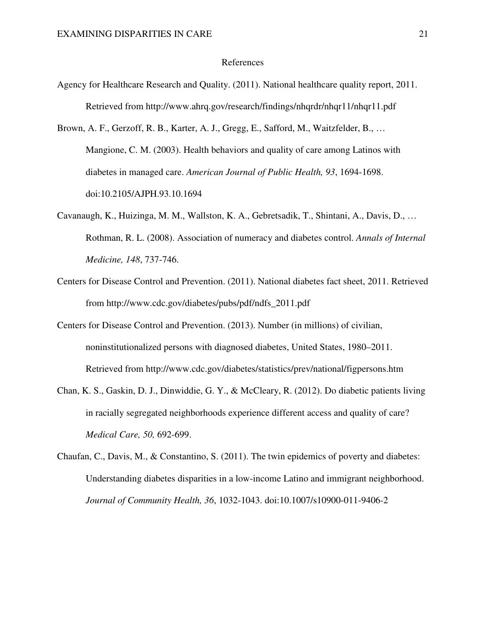#### References

- Agency for Healthcare Research and Quality. (2011). National healthcare quality report, 2011. Retrieved from http://www.ahrq.gov/research/findings/nhqrdr/nhqr11/nhqr11.pdf
- Brown, A. F., Gerzoff, R. B., Karter, A. J., Gregg, E., Safford, M., Waitzfelder, B., … Mangione, C. M. (2003). Health behaviors and quality of care among Latinos with diabetes in managed care. *American Journal of Public Health, 93*, 1694-1698. doi:10.2105/AJPH.93.10.1694
- Cavanaugh, K., Huizinga, M. M., Wallston, K. A., Gebretsadik, T., Shintani, A., Davis, D., … Rothman, R. L. (2008). Association of numeracy and diabetes control. *Annals of Internal Medicine, 148*, 737-746.
- Centers for Disease Control and Prevention. (2011). National diabetes fact sheet, 2011. Retrieved from http://www.cdc.gov/diabetes/pubs/pdf/ndfs\_2011.pdf
- Centers for Disease Control and Prevention. (2013). Number (in millions) of civilian, noninstitutionalized persons with diagnosed diabetes, United States, 1980–2011. Retrieved from http://www.cdc.gov/diabetes/statistics/prev/national/figpersons.htm
- Chan, K. S., Gaskin, D. J., Dinwiddie, G. Y., & McCleary, R. (2012). Do diabetic patients living in racially segregated neighborhoods experience different access and quality of care? *Medical Care, 50,* 692-699.
- Chaufan, C., Davis, M., & Constantino, S. (2011). The twin epidemics of poverty and diabetes: Understanding diabetes disparities in a low-income Latino and immigrant neighborhood. *Journal of Community Health, 36*, 1032-1043. doi:10.1007/s10900-011-9406-2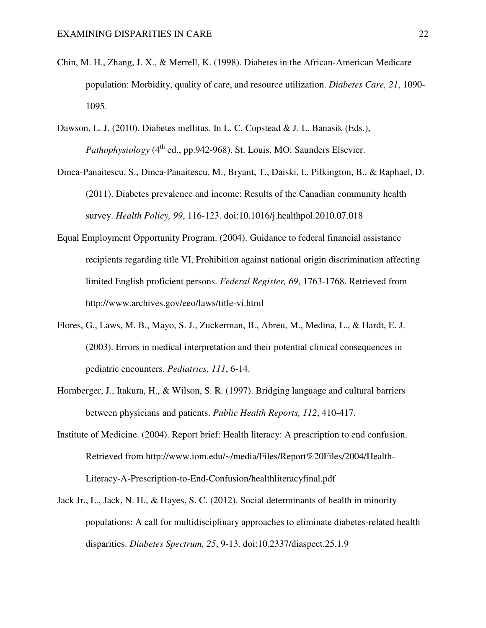- Chin, M. H., Zhang, J. X., & Merrell, K. (1998). Diabetes in the African-American Medicare population: Morbidity, quality of care, and resource utilization. *Diabetes Care, 21*, 1090- 1095.
- Dawson, L. J. (2010). Diabetes mellitus. In L. C. Copstead & J. L. Banasik (Eds.), *Pathophysiology* (4<sup>th</sup> ed., pp.942-968). St. Louis, MO: Saunders Elsevier.
- Dinca-Panaitescu, S., Dinca-Panaitescu, M., Bryant, T., Daiski, I., Pilkington, B., & Raphael, D. (2011). Diabetes prevalence and income: Results of the Canadian community health survey. *Health Policy, 99*, 116-123. doi:10.1016/j.healthpol.2010.07.018
- Equal Employment Opportunity Program. (2004). Guidance to federal financial assistance recipients regarding title VI, Prohibition against national origin discrimination affecting limited English proficient persons. *Federal Register, 69*, 1763-1768. Retrieved from http://www.archives.gov/eeo/laws/title-vi.html
- Flores, G., Laws, M. B., Mayo, S. J., Zuckerman, B., Abreu, M., Medina, L., & Hardt, E. J. (2003). Errors in medical interpretation and their potential clinical consequences in pediatric encounters. *Pediatrics, 111*, 6-14.
- Hornberger, J., Itakura, H., & Wilson, S. R. (1997). Bridging language and cultural barriers between physicians and patients. *Public Health Reports, 112*, 410-417.
- Institute of Medicine. (2004). Report brief: Health literacy: A prescription to end confusion. Retrieved from http://www.iom.edu/~/media/Files/Report%20Files/2004/Health-Literacy-A-Prescription-to-End-Confusion/healthliteracyfinal.pdf
- Jack Jr., L., Jack, N. H., & Hayes, S. C. (2012). Social determinants of health in minority populations: A call for multidisciplinary approaches to eliminate diabetes-related health disparities. *Diabetes Spectrum, 25*, 9-13. doi:10.2337/diaspect.25.1.9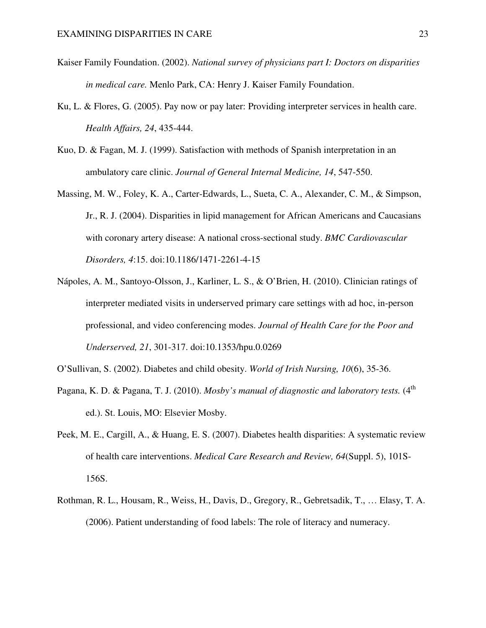- Kaiser Family Foundation. (2002). *National survey of physicians part I: Doctors on disparities in medical care.* Menlo Park, CA: Henry J. Kaiser Family Foundation.
- Ku, L. & Flores, G. (2005). Pay now or pay later: Providing interpreter services in health care. *Health Affairs, 24*, 435-444.
- Kuo, D. & Fagan, M. J. (1999). Satisfaction with methods of Spanish interpretation in an ambulatory care clinic. *Journal of General Internal Medicine, 14*, 547-550.
- Massing, M. W., Foley, K. A., Carter-Edwards, L., Sueta, C. A., Alexander, C. M., & Simpson, Jr., R. J. (2004). Disparities in lipid management for African Americans and Caucasians with coronary artery disease: A national cross-sectional study. *BMC Cardiovascular Disorders, 4*:15. doi:10.1186/1471-2261-4-15
- Nápoles, A. M., Santoyo-Olsson, J., Karliner, L. S., & O'Brien, H. (2010). Clinician ratings of interpreter mediated visits in underserved primary care settings with ad hoc, in-person professional, and video conferencing modes. *Journal of Health Care for the Poor and Underserved, 21*, 301-317. doi:10.1353/hpu.0.0269
- O'Sullivan, S. (2002). Diabetes and child obesity. *World of Irish Nursing, 10*(6), 35-36.
- Pagana, K. D. & Pagana, T. J. (2010). *Mosby's manual of diagnostic and laboratory tests.* (4<sup>th</sup> ed.). St. Louis, MO: Elsevier Mosby.
- Peek, M. E., Cargill, A., & Huang, E. S. (2007). Diabetes health disparities: A systematic review of health care interventions. *Medical Care Research and Review, 64*(Suppl. 5), 101S-156S.
- Rothman, R. L., Housam, R., Weiss, H., Davis, D., Gregory, R., Gebretsadik, T., … Elasy, T. A. (2006). Patient understanding of food labels: The role of literacy and numeracy.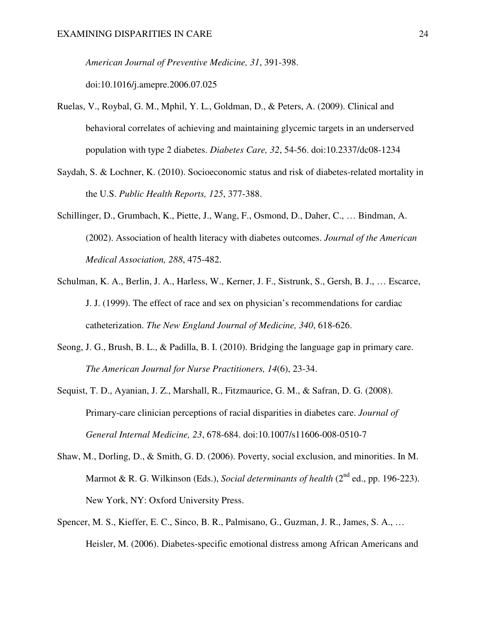*American Journal of Preventive Medicine, 31*, 391-398.

doi:10.1016/j.amepre.2006.07.025

- Ruelas, V., Roybal, G. M., Mphil, Y. L., Goldman, D., & Peters, A. (2009). Clinical and behavioral correlates of achieving and maintaining glycemic targets in an underserved population with type 2 diabetes. *Diabetes Care, 32*, 54-56. doi:10.2337/dc08-1234
- Saydah, S. & Lochner, K. (2010). Socioeconomic status and risk of diabetes-related mortality in the U.S. *Public Health Reports, 125*, 377-388.
- Schillinger, D., Grumbach, K., Piette, J., Wang, F., Osmond, D., Daher, C., … Bindman, A. (2002). Association of health literacy with diabetes outcomes. *Journal of the American Medical Association, 288*, 475-482.
- Schulman, K. A., Berlin, J. A., Harless, W., Kerner, J. F., Sistrunk, S., Gersh, B. J., … Escarce, J. J. (1999). The effect of race and sex on physician's recommendations for cardiac catheterization. *The New England Journal of Medicine, 340*, 618-626.
- Seong, J. G., Brush, B. L., & Padilla, B. I. (2010). Bridging the language gap in primary care. *The American Journal for Nurse Practitioners, 14*(6), 23-34.
- Sequist, T. D., Ayanian, J. Z., Marshall, R., Fitzmaurice, G. M., & Safran, D. G. (2008). Primary-care clinician perceptions of racial disparities in diabetes care. *Journal of General Internal Medicine, 23*, 678-684. doi:10.1007/s11606-008-0510-7
- Shaw, M., Dorling, D., & Smith, G. D. (2006). Poverty, social exclusion, and minorities. In M. Marmot & R. G. Wilkinson (Eds.), *Social determinants of health* (2<sup>nd</sup> ed., pp. 196-223). New York, NY: Oxford University Press.
- Spencer, M. S., Kieffer, E. C., Sinco, B. R., Palmisano, G., Guzman, J. R., James, S. A., … Heisler, M. (2006). Diabetes-specific emotional distress among African Americans and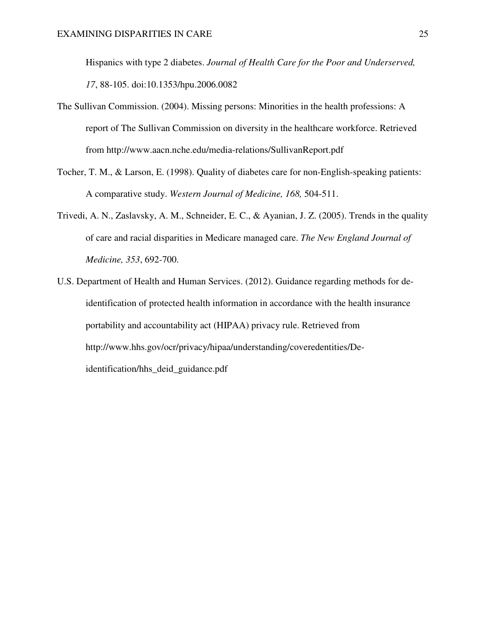Hispanics with type 2 diabetes. *Journal of Health Care for the Poor and Underserved, 17*, 88-105. doi:10.1353/hpu.2006.0082

- The Sullivan Commission. (2004). Missing persons: Minorities in the health professions: A report of The Sullivan Commission on diversity in the healthcare workforce. Retrieved from http://www.aacn.nche.edu/media-relations/SullivanReport.pdf
- Tocher, T. M., & Larson, E. (1998). Quality of diabetes care for non-English-speaking patients: A comparative study. *Western Journal of Medicine, 168,* 504-511.
- Trivedi, A. N., Zaslavsky, A. M., Schneider, E. C., & Ayanian, J. Z. (2005). Trends in the quality of care and racial disparities in Medicare managed care. *The New England Journal of Medicine, 353*, 692-700.
- U.S. Department of Health and Human Services. (2012). Guidance regarding methods for deidentification of protected health information in accordance with the health insurance portability and accountability act (HIPAA) privacy rule. Retrieved from http://www.hhs.gov/ocr/privacy/hipaa/understanding/coveredentities/Deidentification/hhs\_deid\_guidance.pdf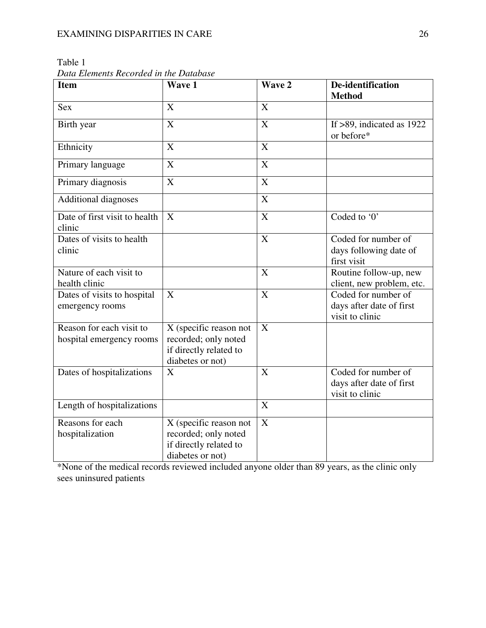| рат плетения кесонией типе раничия                   |                                                                                              |                           |                                                                    |
|------------------------------------------------------|----------------------------------------------------------------------------------------------|---------------------------|--------------------------------------------------------------------|
| <b>Item</b>                                          | Wave 1                                                                                       | Wave 2                    | De-identification<br><b>Method</b>                                 |
| <b>Sex</b>                                           | X                                                                                            | X                         |                                                                    |
| Birth year                                           | X                                                                                            | $\overline{\text{X}}$     | If $>89$ , indicated as 1922<br>or before*                         |
| Ethnicity                                            | X                                                                                            | X                         |                                                                    |
| Primary language                                     | X                                                                                            | X                         |                                                                    |
| Primary diagnosis                                    | $\overline{X}$                                                                               | $\overline{\text{X}}$     |                                                                    |
| <b>Additional diagnoses</b>                          |                                                                                              | $\overline{\text{X}}$     |                                                                    |
| Date of first visit to health<br>clinic              | X                                                                                            | $\overline{X}$            | Coded to '0'                                                       |
| Dates of visits to health<br>clinic                  |                                                                                              | $\overline{\text{X}}$     | Coded for number of<br>days following date of<br>first visit       |
| Nature of each visit to<br>health clinic             |                                                                                              | $\boldsymbol{\mathrm{X}}$ | Routine follow-up, new<br>client, new problem, etc.                |
| Dates of visits to hospital<br>emergency rooms       | X                                                                                            | X                         | Coded for number of<br>days after date of first<br>visit to clinic |
| Reason for each visit to<br>hospital emergency rooms | X (specific reason not<br>recorded; only noted<br>if directly related to<br>diabetes or not) | $\mathbf{X}$              |                                                                    |
| Dates of hospitalizations                            | X                                                                                            | $\boldsymbol{\mathrm{X}}$ | Coded for number of<br>days after date of first<br>visit to clinic |
| Length of hospitalizations                           |                                                                                              | $\boldsymbol{\mathrm{X}}$ |                                                                    |
| Reasons for each<br>hospitalization                  | X (specific reason not<br>recorded; only noted<br>if directly related to<br>diabetes or not) | X                         |                                                                    |

Table 1

*Data Elements Recorded in the Database*

\*None of the medical records reviewed included anyone older than 89 years, as the clinic only sees uninsured patients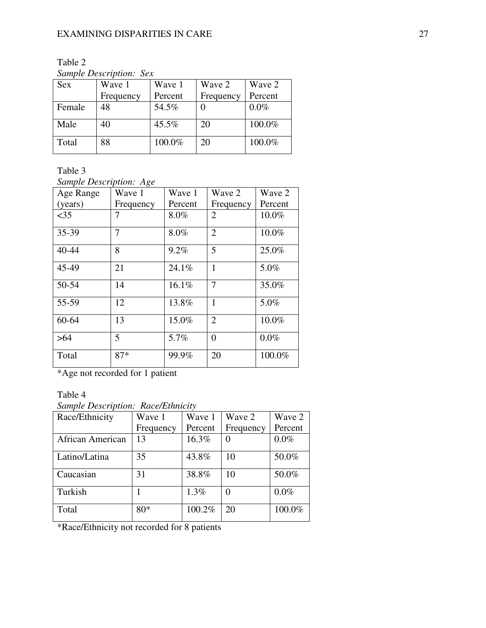Table 2

*Sample Description: Sex* 

| <b>Sex</b> | Wave 1    | Wave 1  | Wave 2    | Wave 2  |
|------------|-----------|---------|-----------|---------|
|            | Frequency | Percent | Frequency | Percent |
| Female     | 48        | 54.5%   |           | $0.0\%$ |
| Male       | 40        | 45.5%   | 20        | 100.0%  |
| Total      | 88        | 100.0%  | 20        | 100.0%  |

Table 3

*Sample Description: Age* 

| Age Range | Wave 1    | Wave 1  | Wave 2         | Wave 2  |
|-----------|-----------|---------|----------------|---------|
| (years)   | Frequency | Percent | Frequency      | Percent |
| $<$ 35    |           | 8.0%    | 2              | 10.0%   |
| 35-39     | 7         | 8.0%    | $\overline{2}$ | 10.0%   |
| $40 - 44$ | 8         | 9.2%    | 5              | 25.0%   |
| 45-49     | 21        | 24.1%   | 1              | 5.0%    |
| 50-54     | 14        | 16.1%   | $\overline{7}$ | 35.0%   |
| 55-59     | 12        | 13.8%   | 1              | 5.0%    |
| 60-64     | 13        | 15.0%   | $\overline{2}$ | 10.0%   |
| >64       | 5         | 5.7%    | $\Omega$       | $0.0\%$ |
| Total     | $87*$     | 99.9%   | 20             | 100.0%  |

\*Age not recorded for 1 patient

# Table 4

*Sample Description: Race/Ethnicity*

| Race/Ethnicity   | Wave 1    | Wave 1  | Wave 2        | Wave 2  |
|------------------|-----------|---------|---------------|---------|
|                  | Frequency | Percent | Frequency     | Percent |
| African American | 13        | 16.3%   | $\mathcal{O}$ | $0.0\%$ |
| Latino/Latina    | 35        | 43.8%   | 10            | 50.0%   |
| Caucasian        | 31        | 38.8%   | 10            | 50.0%   |
| Turkish          |           | 1.3%    | 0             | 0.0%    |
| Total            | $80*$     | 100.2%  | 20            | 100.0%  |

\*Race/Ethnicity not recorded for 8 patients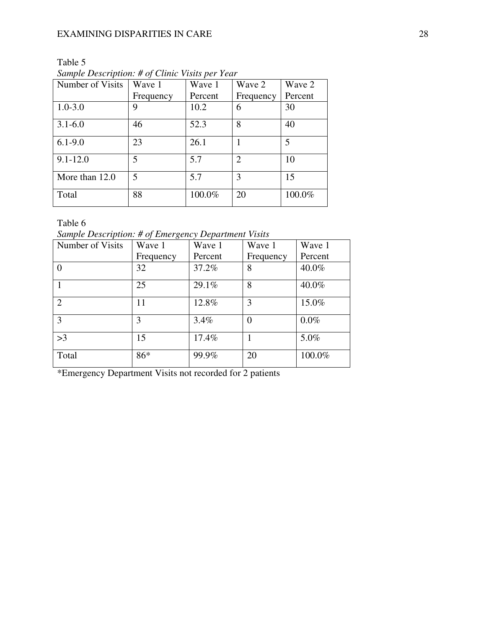# EXAMINING DISPARITIES IN CARE 28

| Number of Visits | Wave 1    | Wave 1  | Wave 2                      | Wave 2  |
|------------------|-----------|---------|-----------------------------|---------|
|                  | Frequency | Percent | Frequency                   | Percent |
| $1.0 - 3.0$      | 9         | 10.2    | 6                           | 30      |
| $3.1 - 6.0$      | 46        | 52.3    | 8                           | 40      |
| $6.1 - 9.0$      | 23        | 26.1    |                             | 5       |
| $9.1 - 12.0$     | 5         | 5.7     | $\mathcal{D}_{\mathcal{L}}$ | 10      |
| More than 12.0   | 5         | 5.7     | 3                           | 15      |
| Total            | 88        | 100.0%  | 20                          | 100.0%  |

Table 5 *Sample Description: # of Clinic Visits per Year* 

Table 6

*Sample Description: # of Emergency Department Visits*

| Number of Visits | Wave 1    | Wave 1  | Wave 1    | Wave 1  |
|------------------|-----------|---------|-----------|---------|
|                  | Frequency | Percent | Frequency | Percent |
|                  | 32        | 37.2%   | 8         | 40.0%   |
|                  | 25        | 29.1%   | 8         | 40.0%   |
| $\overline{2}$   | 11        | 12.8%   | 3         | 15.0%   |
| 3                | 3         | $3.4\%$ | $\Omega$  | $0.0\%$ |
| >3               | 15        | 17.4%   |           | 5.0%    |
| Total            | 86*       | 99.9%   | 20        | 100.0%  |

\*Emergency Department Visits not recorded for 2 patients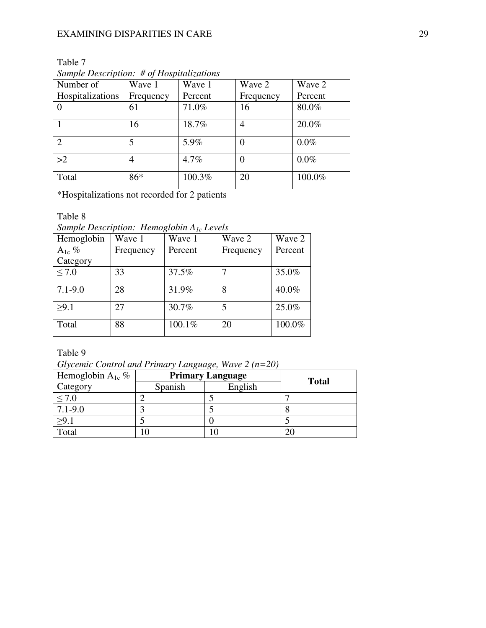| Number of        | Wave 1    | Wave 1  | Wave 2    | Wave 2  |
|------------------|-----------|---------|-----------|---------|
| Hospitalizations | Frequency | Percent | Frequency | Percent |
|                  | 61        | 71.0%   | 16        | 80.0%   |
|                  | 16        | 18.7%   | 4         | 20.0%   |
| $\overline{2}$   | 5         | 5.9%    | 0         | $0.0\%$ |
| >2               | 4         | 4.7%    | 0         | $0.0\%$ |
| Total            | 86*       | 100.3%  | 20        | 100.0%  |

*Sample Description: # of Hospitalizations*

\*Hospitalizations not recorded for 2 patients

Table 8

Table 7

*Sample Description: Hemoglobin A1c Levels*

| Hemoglobin  | Wave 1    | Wave 1  | Wave 2    | Wave 2  |
|-------------|-----------|---------|-----------|---------|
| $A_{1c}$ %  | Frequency | Percent | Frequency | Percent |
| Category    |           |         |           |         |
| $\leq 7.0$  | 33        | 37.5%   |           | 35.0%   |
| $7.1 - 9.0$ | 28        | 31.9%   | 8         | 40.0%   |
| >9.1        | 27        | 30.7%   | 5         | 25.0%   |
| Total       | 88        | 100.1%  | 20        | 100.0%  |

Table 9

*Glycemic Control and Primary Language, Wave 2 (n=20)*

| Hemoglobin $A_{1c}$ % | <b>Primary Language</b> |         |              |
|-----------------------|-------------------------|---------|--------------|
| Category              | Spanish                 | English | <b>Total</b> |
| $\leq 7.0$            |                         |         |              |
| $7.1 - 9.0$           |                         |         |              |
| $\geq 9.1$            |                         |         |              |
| Total                 |                         |         |              |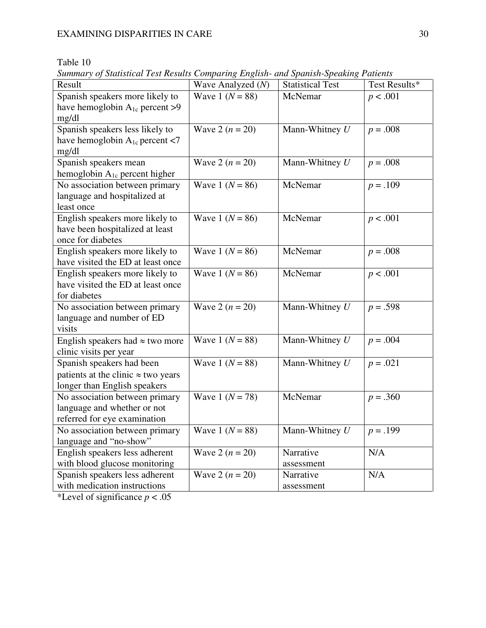# Table 10

*Summary of Statistical Test Results Comparing English- and Spanish-Speaking Patients*

| Result                                               | Wave Analyzed (N)   | <b>Statistical Test</b> | Test Results* |
|------------------------------------------------------|---------------------|-------------------------|---------------|
| Spanish speakers more likely to                      | Wave 1 ( $N = 88$ ) | McNemar                 | p < .001      |
| have hemoglobin $A_{1c}$ percent >9                  |                     |                         |               |
| mg/dl                                                |                     |                         |               |
| Spanish speakers less likely to                      | Wave 2 $(n = 20)$   | Mann-Whitney $U$        | $p=.008$      |
| have hemoglobin $A_{1c}$ percent <7                  |                     |                         |               |
| mg/dl                                                |                     |                         |               |
| Spanish speakers mean                                | Wave 2 $(n = 20)$   | Mann-Whitney $U$        | $p = .008$    |
| hemoglobin A <sub>1c</sub> percent higher            |                     |                         |               |
| No association between primary                       | Wave 1 ( $N = 86$ ) | McNemar                 | $p = .109$    |
| language and hospitalized at                         |                     |                         |               |
| least once                                           | Wave 1 ( $N = 86$ ) | McNemar                 |               |
| English speakers more likely to                      |                     |                         | p < .001      |
| have been hospitalized at least<br>once for diabetes |                     |                         |               |
| English speakers more likely to                      | Wave 1 ( $N = 86$ ) | McNemar                 | $p = .008$    |
| have visited the ED at least once                    |                     |                         |               |
| English speakers more likely to                      | Wave 1 ( $N = 86$ ) | McNemar                 | p < .001      |
| have visited the ED at least once                    |                     |                         |               |
| for diabetes                                         |                     |                         |               |
| No association between primary                       | Wave 2 $(n = 20)$   | Mann-Whitney $U$        | $p = .598$    |
| language and number of ED                            |                     |                         |               |
| visits                                               |                     |                         |               |
| English speakers had $\approx$ two more              | Wave 1 ( $N = 88$ ) | Mann-Whitney $U$        | $p = .004$    |
| clinic visits per year                               |                     |                         |               |
| Spanish speakers had been                            | Wave 1 ( $N = 88$ ) | Mann-Whitney $U$        | $p = .021$    |
| patients at the clinic $\approx$ two years           |                     |                         |               |
| longer than English speakers                         |                     |                         |               |
| No association between primary                       | Wave 1 $(N = 78)$   | McNemar                 | $p = .360$    |
| language and whether or not                          |                     |                         |               |
| referred for eye examination                         |                     |                         |               |
| No association between primary                       | Wave 1 ( $N = 88$ ) | Mann-Whitney $U$        | $p = .199$    |
| language and "no-show"                               |                     |                         |               |
| English speakers less adherent                       | Wave 2 $(n = 20)$   | Narrative               | N/A           |
| with blood glucose monitoring                        |                     | assessment              |               |
| Spanish speakers less adherent                       | Wave 2 $(n = 20)$   | Narrative               | N/A           |
| with medication instructions                         |                     | assessment              |               |

\*Level of significance  $p < .05$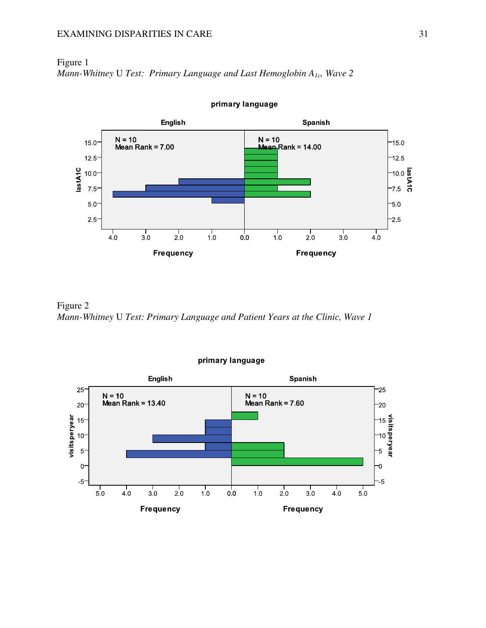### EXAMINING DISPARITIES IN CARE 31

# Figure 1 *Mann-Whitney* U *Test: Primary Language and Last Hemoglobin A1c, Wave 2*



primary language

Figure 2 *Mann-Whitney* U *Test: Primary Language and Patient Years at the Clinic, Wave 1* 



primary language